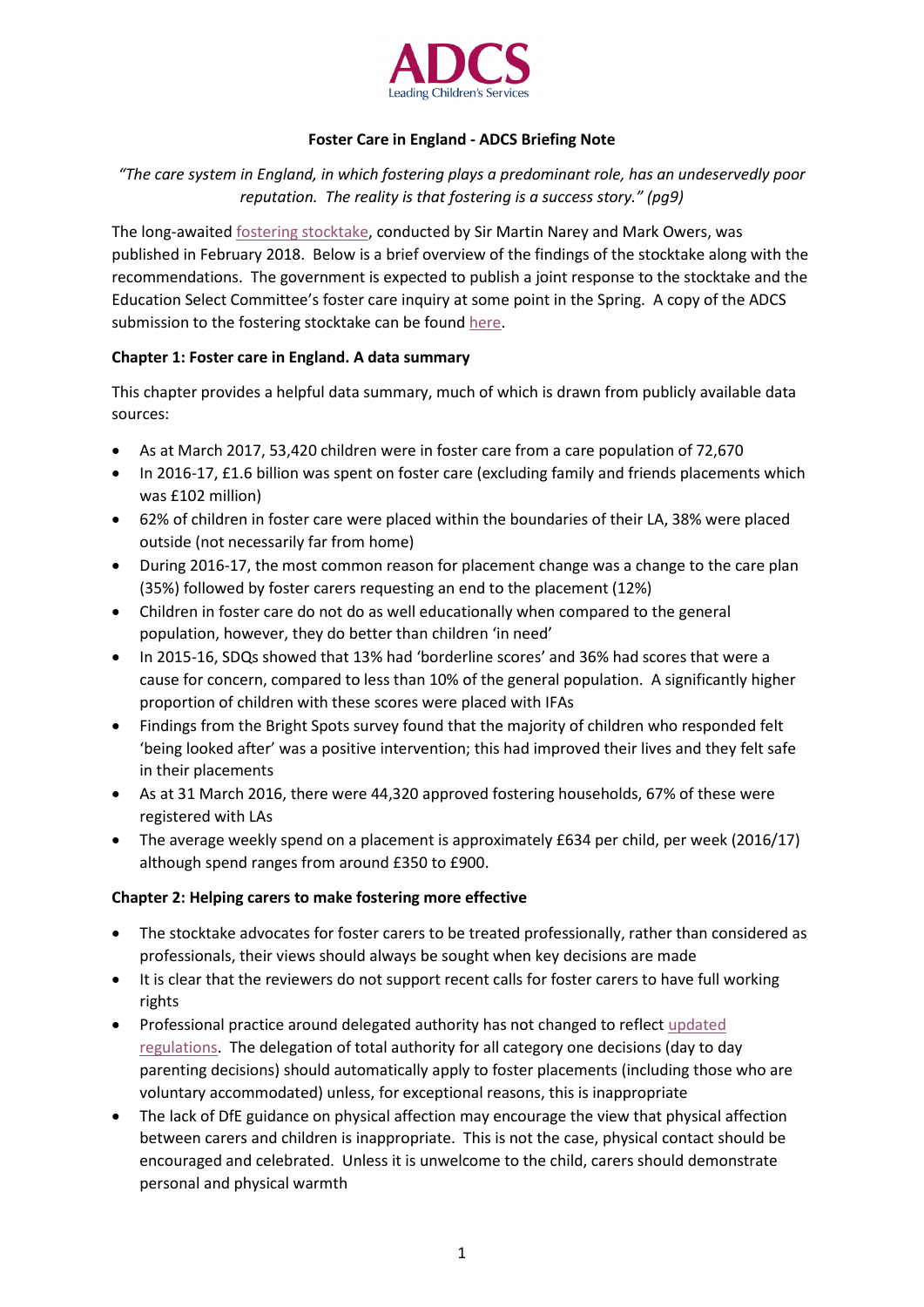

# **Foster Care in England - ADCS Briefing Note**

*"The care system in England, in which fostering plays a predominant role, has an undeservedly poor reputation. The reality is that fostering is a success story." (pg9)*

The long-awaited [fostering stocktake,](https://www.gov.uk/government/uploads/system/uploads/attachment_data/file/679320/Foster_Care_in_England_Review.pdf) conducted by Sir Martin Narey and Mark Owers, was published in February 2018. Below is a brief overview of the findings of the stocktake along with the recommendations. The government is expected to publish a joint response to the stocktake and the Education Select Committee's foster care inquiry at some point in the Spring. A copy of the ADCS submission to the fostering stocktake can be foun[d here.](http://adcs.org.uk/assets/documentation/ADCS_evidence_Fostering_stocktake_June_2017.pdf)

# **Chapter 1: Foster care in England. A data summary**

This chapter provides a helpful data summary, much of which is drawn from publicly available data sources:

- As at March 2017, 53,420 children were in foster care from a care population of 72,670
- In 2016-17, £1.6 billion was spent on foster care (excluding family and friends placements which was £102 million)
- 62% of children in foster care were placed within the boundaries of their LA, 38% were placed outside (not necessarily far from home)
- During 2016-17, the most common reason for placement change was a change to the care plan (35%) followed by foster carers requesting an end to the placement (12%)
- Children in foster care do not do as well educationally when compared to the general population, however, they do better than children 'in need'
- In 2015-16, SDQs showed that 13% had 'borderline scores' and 36% had scores that were a cause for concern, compared to less than 10% of the general population. A significantly higher proportion of children with these scores were placed with IFAs
- Findings from the Bright Spots survey found that the majority of children who responded felt 'being looked after' was a positive intervention; this had improved their lives and they felt safe in their placements
- As at 31 March 2016, there were 44,320 approved fostering households, 67% of these were registered with LAs
- The average weekly spend on a placement is approximately £634 per child, per week (2016/17) although spend ranges from around £350 to £900.

# **Chapter 2: Helping carers to make fostering more effective**

- The stocktake advocates for foster carers to be treated professionally, rather than considered as professionals, their views should always be sought when key decisions are made
- It is clear that the reviewers do not support recent calls for foster carers to have full working rights
- Professional practice around delegated authority has not changed to reflec[t updated](https://www.gov.uk/government/uploads/system/uploads/attachment_data/file/441643/Children_Act_Guidance_2015.pdf) [regulations.](https://www.gov.uk/government/uploads/system/uploads/attachment_data/file/441643/Children_Act_Guidance_2015.pdf) The delegation of total authority for all category one decisions (day to day parenting decisions) should automatically apply to foster placements (including those who are voluntary accommodated) unless, for exceptional reasons, this is inappropriate
- The lack of DfE guidance on physical affection may encourage the view that physical affection between carers and children is inappropriate. This is not the case, physical contact should be encouraged and celebrated. Unless it is unwelcome to the child, carers should demonstrate personal and physical warmth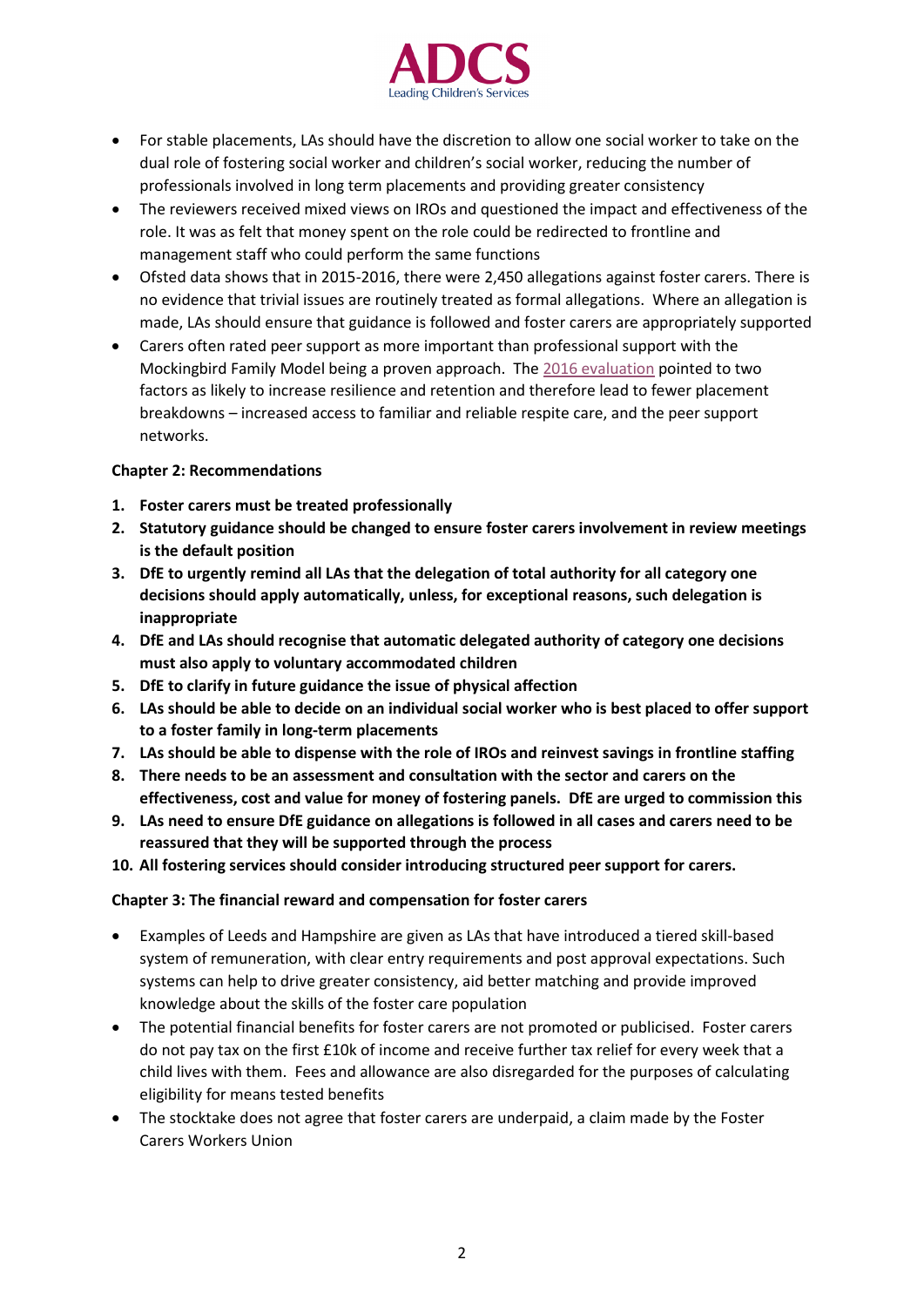

- For stable placements, LAs should have the discretion to allow one social worker to take on the dual role of fostering social worker and children's social worker, reducing the number of professionals involved in long term placements and providing greater consistency
- The reviewers received mixed views on IROs and questioned the impact and effectiveness of the role. It was as felt that money spent on the role could be redirected to frontline and management staff who could perform the same functions
- Ofsted data shows that in 2015-2016, there were 2,450 allegations against foster carers. There is no evidence that trivial issues are routinely treated as formal allegations. Where an allegation is made, LAs should ensure that guidance is followed and foster carers are appropriately supported
- Carers often rated peer support as more important than professional support with the Mockingbird Family Model being a proven approach. The [2016 evaluation](https://www.gov.uk/government/uploads/system/uploads/attachment_data/file/560625/DFE-RR528-Mockingbird_family_model_evaluation.pdf) pointed to two factors as likely to increase resilience and retention and therefore lead to fewer placement breakdowns – increased access to familiar and reliable respite care, and the peer support networks.

### **Chapter 2: Recommendations**

- **1. Foster carers must be treated professionally**
- **2. Statutory guidance should be changed to ensure foster carers involvement in review meetings is the default position**
- **3. DfE to urgently remind all LAs that the delegation of total authority for all category one decisions should apply automatically, unless, for exceptional reasons, such delegation is inappropriate**
- **4. DfE and LAs should recognise that automatic delegated authority of category one decisions must also apply to voluntary accommodated children**
- **5. DfE to clarify in future guidance the issue of physical affection**
- **6. LAs should be able to decide on an individual social worker who is best placed to offer support to a foster family in long-term placements**
- **7. LAs should be able to dispense with the role of IROs and reinvest savings in frontline staffing**
- **8. There needs to be an assessment and consultation with the sector and carers on the effectiveness, cost and value for money of fostering panels. DfE are urged to commission this**
- **9. LAs need to ensure DfE guidance on allegations is followed in all cases and carers need to be reassured that they will be supported through the process**
- **10. All fostering services should consider introducing structured peer support for carers.**

#### **Chapter 3: The financial reward and compensation for foster carers**

- Examples of Leeds and Hampshire are given as LAs that have introduced a tiered skill-based system of remuneration, with clear entry requirements and post approval expectations. Such systems can help to drive greater consistency, aid better matching and provide improved knowledge about the skills of the foster care population
- The potential financial benefits for foster carers are not promoted or publicised. Foster carers do not pay tax on the first £10k of income and receive further tax relief for every week that a child lives with them. Fees and allowance are also disregarded for the purposes of calculating eligibility for means tested benefits
- The stocktake does not agree that foster carers are underpaid, a claim made by the Foster Carers Workers Union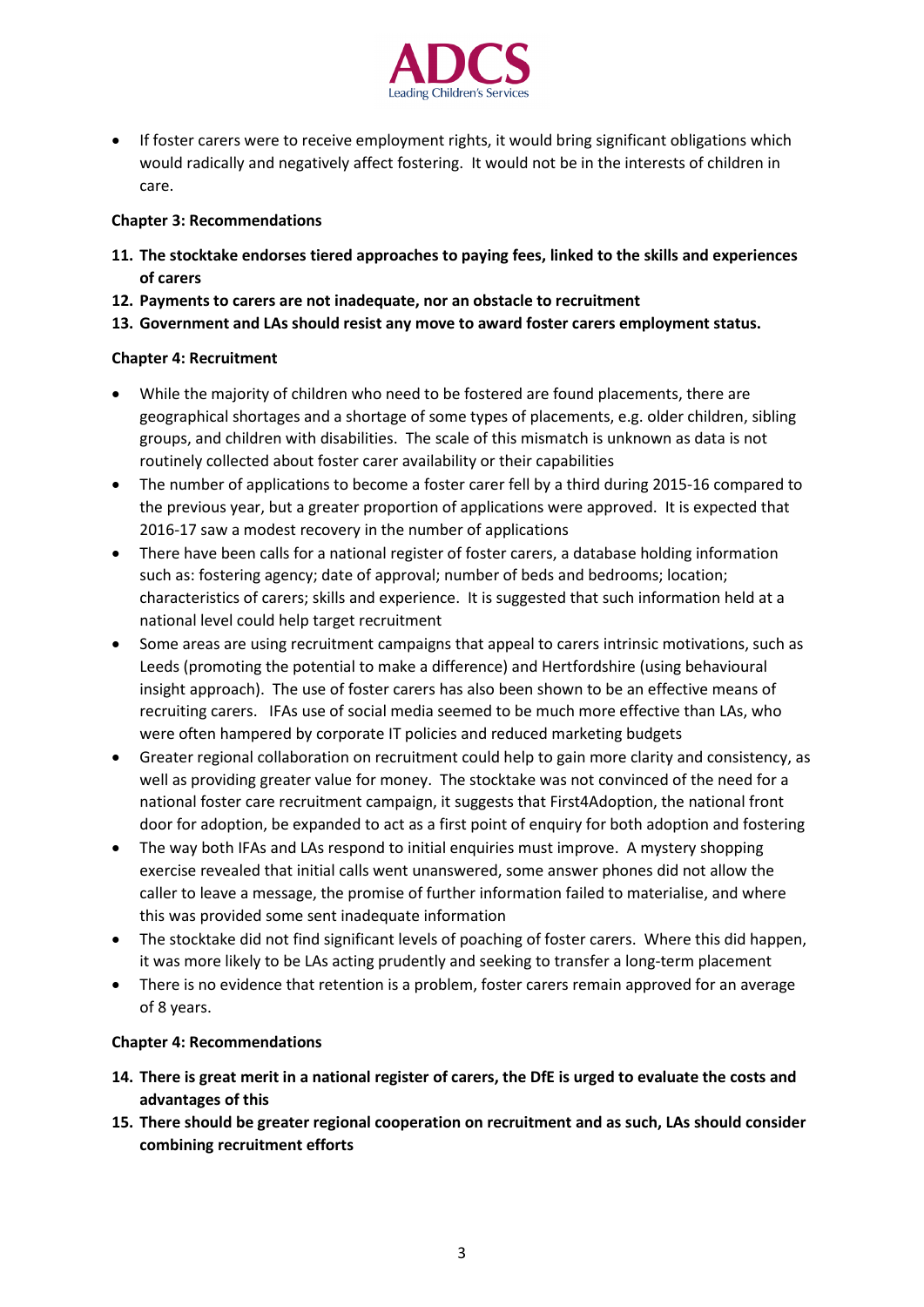

• If foster carers were to receive employment rights, it would bring significant obligations which would radically and negatively affect fostering. It would not be in the interests of children in care.

## **Chapter 3: Recommendations**

- **11. The stocktake endorses tiered approaches to paying fees, linked to the skills and experiences of carers**
- **12. Payments to carers are not inadequate, nor an obstacle to recruitment**
- **13. Government and LAs should resist any move to award foster carers employment status.**

### **Chapter 4: Recruitment**

- While the majority of children who need to be fostered are found placements, there are geographical shortages and a shortage of some types of placements, e.g. older children, sibling groups, and children with disabilities. The scale of this mismatch is unknown as data is not routinely collected about foster carer availability or their capabilities
- The number of applications to become a foster carer fell by a third during 2015-16 compared to the previous year, but a greater proportion of applications were approved. It is expected that 2016-17 saw a modest recovery in the number of applications
- There have been calls for a national register of foster carers, a database holding information such as: fostering agency; date of approval; number of beds and bedrooms; location; characteristics of carers; skills and experience. It is suggested that such information held at a national level could help target recruitment
- Some areas are using recruitment campaigns that appeal to carers intrinsic motivations, such as Leeds (promoting the potential to make a difference) and Hertfordshire (using behavioural insight approach). The use of foster carers has also been shown to be an effective means of recruiting carers. IFAs use of social media seemed to be much more effective than LAs, who were often hampered by corporate IT policies and reduced marketing budgets
- Greater regional collaboration on recruitment could help to gain more clarity and consistency, as well as providing greater value for money. The stocktake was not convinced of the need for a national foster care recruitment campaign, it suggests that First4Adoption, the national front door for adoption, be expanded to act as a first point of enquiry for both adoption and fostering
- The way both IFAs and LAs respond to initial enquiries must improve. A mystery shopping exercise revealed that initial calls went unanswered, some answer phones did not allow the caller to leave a message, the promise of further information failed to materialise, and where this was provided some sent inadequate information
- The stocktake did not find significant levels of poaching of foster carers. Where this did happen, it was more likely to be LAs acting prudently and seeking to transfer a long-term placement
- There is no evidence that retention is a problem, foster carers remain approved for an average of 8 years.

#### **Chapter 4: Recommendations**

- **14. There is great merit in a national register of carers, the DfE is urged to evaluate the costs and advantages of this**
- **15. There should be greater regional cooperation on recruitment and as such, LAs should consider combining recruitment efforts**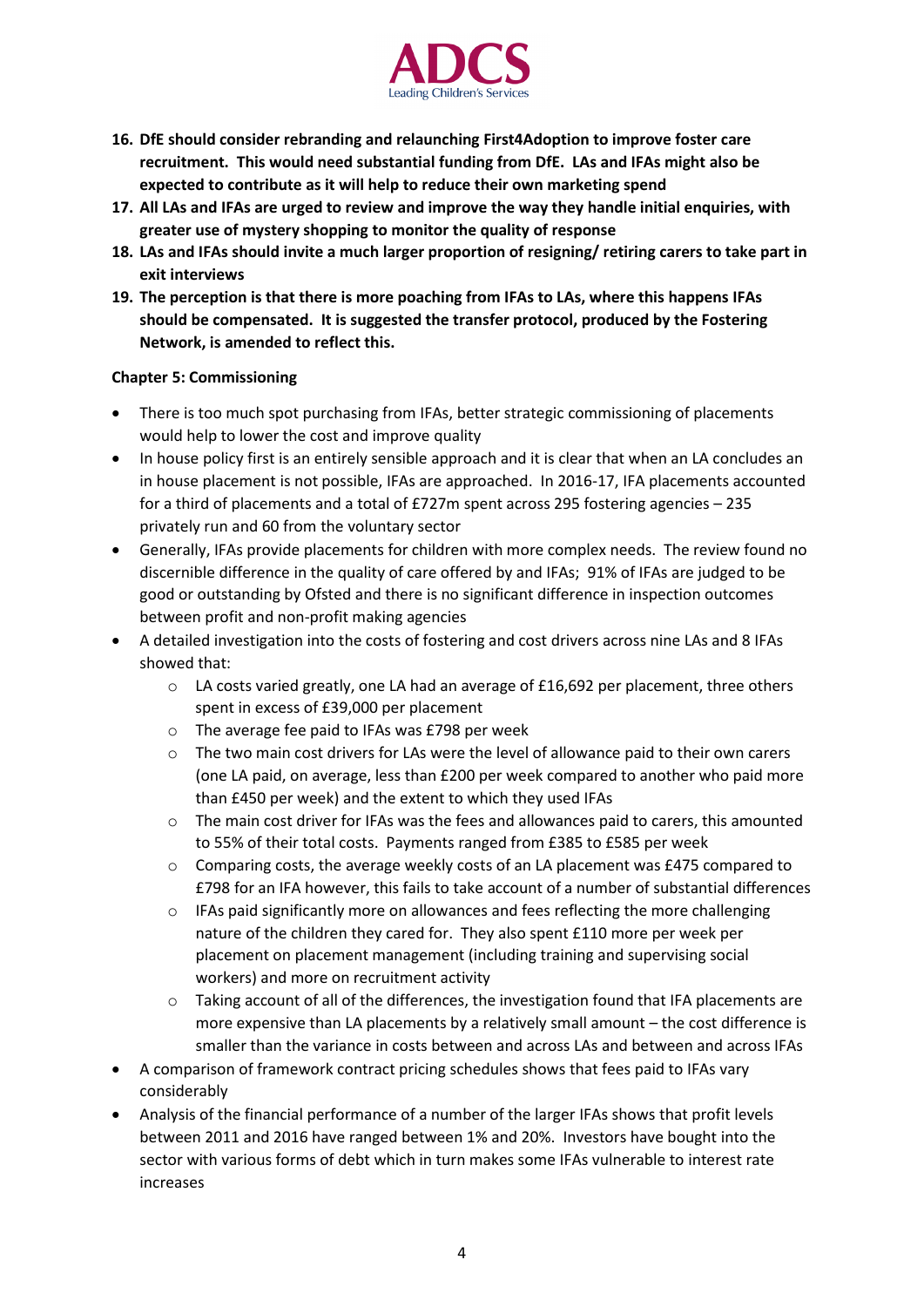

- **16. DfE should consider rebranding and relaunching First4Adoption to improve foster care recruitment. This would need substantial funding from DfE. LAs and IFAs might also be expected to contribute as it will help to reduce their own marketing spend**
- **17. All LAs and IFAs are urged to review and improve the way they handle initial enquiries, with greater use of mystery shopping to monitor the quality of response**
- **18. LAs and IFAs should invite a much larger proportion of resigning/ retiring carers to take part in exit interviews**
- **19. The perception is that there is more poaching from IFAs to LAs, where this happens IFAs should be compensated. It is suggested the transfer protocol, produced by the Fostering Network, is amended to reflect this.**

### **Chapter 5: Commissioning**

- There is too much spot purchasing from IFAs, better strategic commissioning of placements would help to lower the cost and improve quality
- In house policy first is an entirely sensible approach and it is clear that when an LA concludes an in house placement is not possible, IFAs are approached. In 2016-17, IFA placements accounted for a third of placements and a total of £727m spent across 295 fostering agencies – 235 privately run and 60 from the voluntary sector
- Generally, IFAs provide placements for children with more complex needs. The review found no discernible difference in the quality of care offered by and IFAs; 91% of IFAs are judged to be good or outstanding by Ofsted and there is no significant difference in inspection outcomes between profit and non-profit making agencies
- A detailed investigation into the costs of fostering and cost drivers across nine LAs and 8 IFAs showed that:
	- $\circ$  LA costs varied greatly, one LA had an average of £16,692 per placement, three others spent in excess of £39,000 per placement
	- o The average fee paid to IFAs was £798 per week
	- $\circ$  The two main cost drivers for LAs were the level of allowance paid to their own carers (one LA paid, on average, less than £200 per week compared to another who paid more than £450 per week) and the extent to which they used IFAs
	- o The main cost driver for IFAs was the fees and allowances paid to carers, this amounted to 55% of their total costs. Payments ranged from £385 to £585 per week
	- $\circ$  Comparing costs, the average weekly costs of an LA placement was £475 compared to £798 for an IFA however, this fails to take account of a number of substantial differences
	- $\circ$  IFAs paid significantly more on allowances and fees reflecting the more challenging nature of the children they cared for. They also spent £110 more per week per placement on placement management (including training and supervising social workers) and more on recruitment activity
	- $\circ$  Taking account of all of the differences, the investigation found that IFA placements are more expensive than LA placements by a relatively small amount – the cost difference is smaller than the variance in costs between and across LAs and between and across IFAs
- A comparison of framework contract pricing schedules shows that fees paid to IFAs vary considerably
- Analysis of the financial performance of a number of the larger IFAs shows that profit levels between 2011 and 2016 have ranged between 1% and 20%. Investors have bought into the sector with various forms of debt which in turn makes some IFAs vulnerable to interest rate increases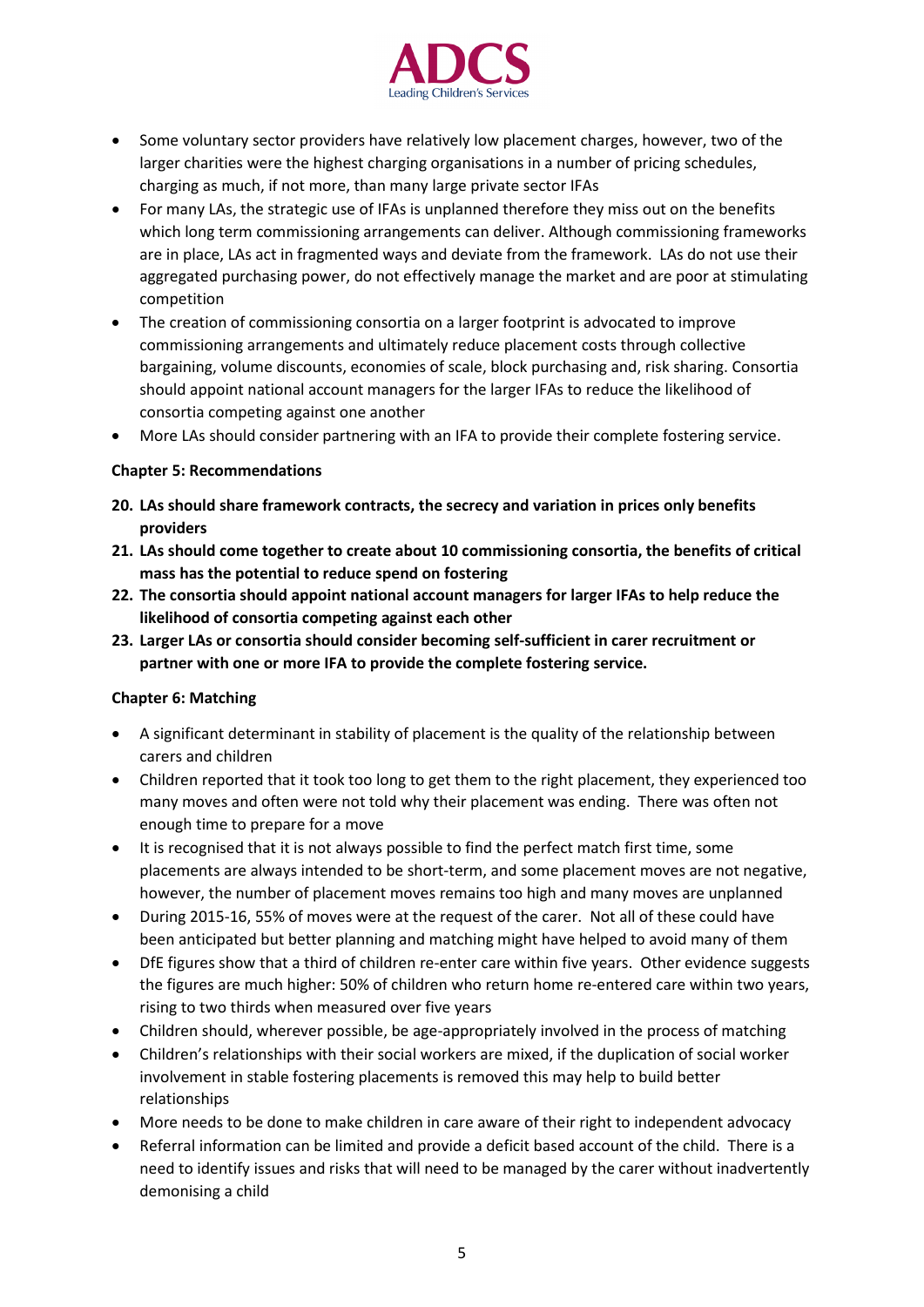

- Some voluntary sector providers have relatively low placement charges, however, two of the larger charities were the highest charging organisations in a number of pricing schedules, charging as much, if not more, than many large private sector IFAs
- For many LAs, the strategic use of IFAs is unplanned therefore they miss out on the benefits which long term commissioning arrangements can deliver. Although commissioning frameworks are in place, LAs act in fragmented ways and deviate from the framework. LAs do not use their aggregated purchasing power, do not effectively manage the market and are poor at stimulating competition
- The creation of commissioning consortia on a larger footprint is advocated to improve commissioning arrangements and ultimately reduce placement costs through collective bargaining, volume discounts, economies of scale, block purchasing and, risk sharing. Consortia should appoint national account managers for the larger IFAs to reduce the likelihood of consortia competing against one another
- More LAs should consider partnering with an IFA to provide their complete fostering service.

### **Chapter 5: Recommendations**

- **20. LAs should share framework contracts, the secrecy and variation in prices only benefits providers**
- **21. LAs should come together to create about 10 commissioning consortia, the benefits of critical mass has the potential to reduce spend on fostering**
- **22. The consortia should appoint national account managers for larger IFAs to help reduce the likelihood of consortia competing against each other**
- **23. Larger LAs or consortia should consider becoming self-sufficient in carer recruitment or partner with one or more IFA to provide the complete fostering service.**

# **Chapter 6: Matching**

- A significant determinant in stability of placement is the quality of the relationship between carers and children
- Children reported that it took too long to get them to the right placement, they experienced too many moves and often were not told why their placement was ending. There was often not enough time to prepare for a move
- It is recognised that it is not always possible to find the perfect match first time, some placements are always intended to be short-term, and some placement moves are not negative, however, the number of placement moves remains too high and many moves are unplanned
- During 2015-16, 55% of moves were at the request of the carer. Not all of these could have been anticipated but better planning and matching might have helped to avoid many of them
- DfE figures show that a third of children re-enter care within five years. Other evidence suggests the figures are much higher: 50% of children who return home re-entered care within two years, rising to two thirds when measured over five years
- Children should, wherever possible, be age-appropriately involved in the process of matching
- Children's relationships with their social workers are mixed, if the duplication of social worker involvement in stable fostering placements is removed this may help to build better relationships
- More needs to be done to make children in care aware of their right to independent advocacy
- Referral information can be limited and provide a deficit based account of the child. There is a need to identify issues and risks that will need to be managed by the carer without inadvertently demonising a child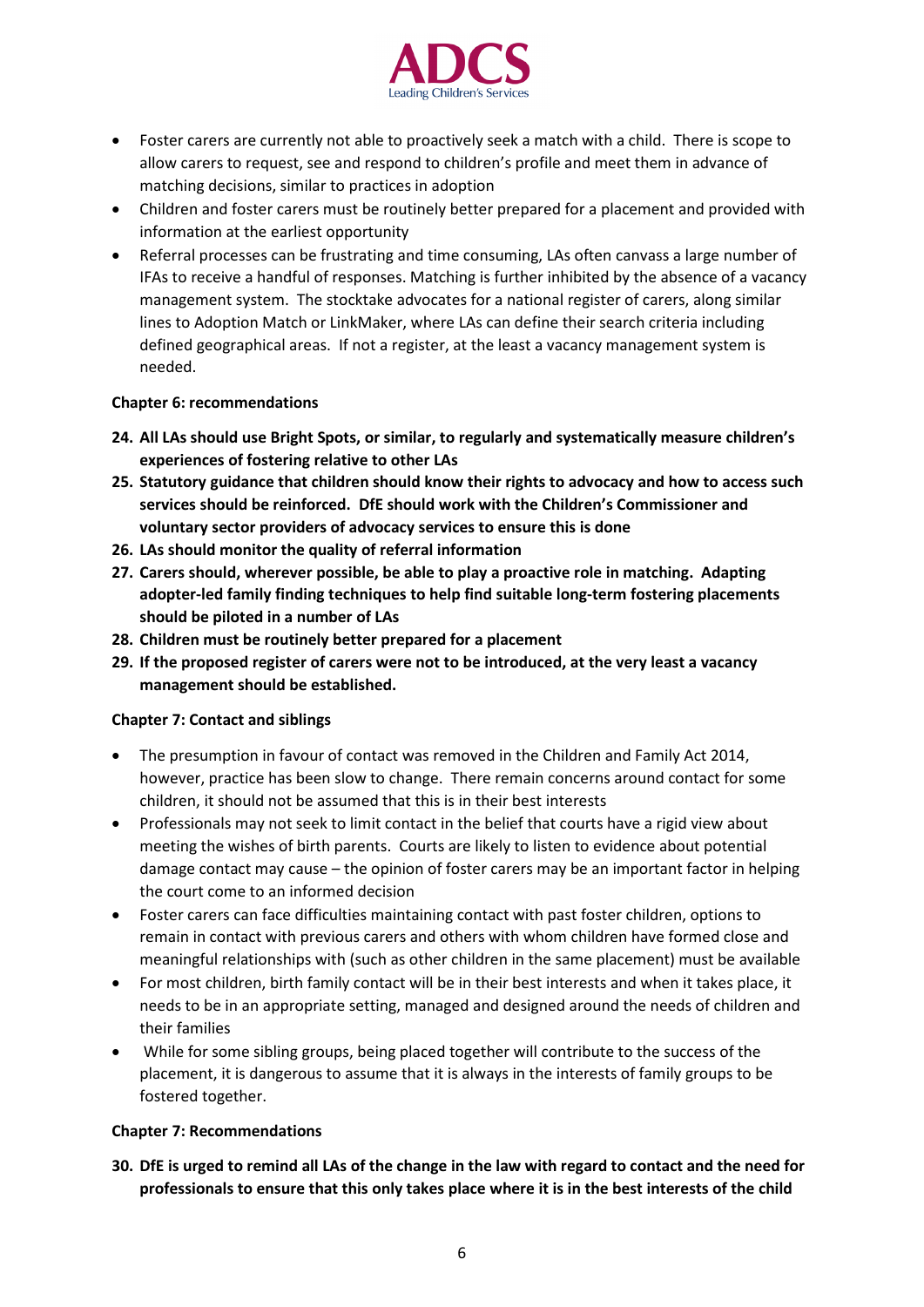

- Foster carers are currently not able to proactively seek a match with a child. There is scope to allow carers to request, see and respond to children's profile and meet them in advance of matching decisions, similar to practices in adoption
- Children and foster carers must be routinely better prepared for a placement and provided with information at the earliest opportunity
- Referral processes can be frustrating and time consuming, LAs often canvass a large number of IFAs to receive a handful of responses. Matching is further inhibited by the absence of a vacancy management system. The stocktake advocates for a national register of carers, along similar lines to Adoption Match or LinkMaker, where LAs can define their search criteria including defined geographical areas. If not a register, at the least a vacancy management system is needed.

#### **Chapter 6: recommendations**

- **24. All LAs should use Bright Spots, or similar, to regularly and systematically measure children's experiences of fostering relative to other LAs**
- **25. Statutory guidance that children should know their rights to advocacy and how to access such services should be reinforced. DfE should work with the Children's Commissioner and voluntary sector providers of advocacy services to ensure this is done**
- **26. LAs should monitor the quality of referral information**
- **27. Carers should, wherever possible, be able to play a proactive role in matching. Adapting adopter-led family finding techniques to help find suitable long-term fostering placements should be piloted in a number of LAs**
- **28. Children must be routinely better prepared for a placement**
- **29. If the proposed register of carers were not to be introduced, at the very least a vacancy management should be established.**

#### **Chapter 7: Contact and siblings**

- The presumption in favour of contact was removed in the Children and Family Act 2014, however, practice has been slow to change. There remain concerns around contact for some children, it should not be assumed that this is in their best interests
- Professionals may not seek to limit contact in the belief that courts have a rigid view about meeting the wishes of birth parents. Courts are likely to listen to evidence about potential damage contact may cause – the opinion of foster carers may be an important factor in helping the court come to an informed decision
- Foster carers can face difficulties maintaining contact with past foster children, options to remain in contact with previous carers and others with whom children have formed close and meaningful relationships with (such as other children in the same placement) must be available
- For most children, birth family contact will be in their best interests and when it takes place, it needs to be in an appropriate setting, managed and designed around the needs of children and their families
- While for some sibling groups, being placed together will contribute to the success of the placement, it is dangerous to assume that it is always in the interests of family groups to be fostered together.

# **Chapter 7: Recommendations**

**30. DfE is urged to remind all LAs of the change in the law with regard to contact and the need for professionals to ensure that this only takes place where it is in the best interests of the child**